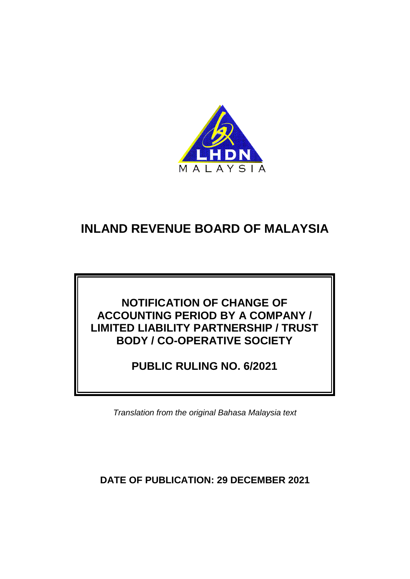

### **NOTIFICATION OF CHANGE OF ACCOUNTING PERIOD BY A COMPANY / LIMITED LIABILITY PARTNERSHIP / TRUST BODY / CO-OPERATIVE SOCIETY**

**PUBLIC RULING NO. 6/2021**

*Translation from the original Bahasa Malaysia text*

**DATE OF PUBLICATION: 29 DECEMBER 2021**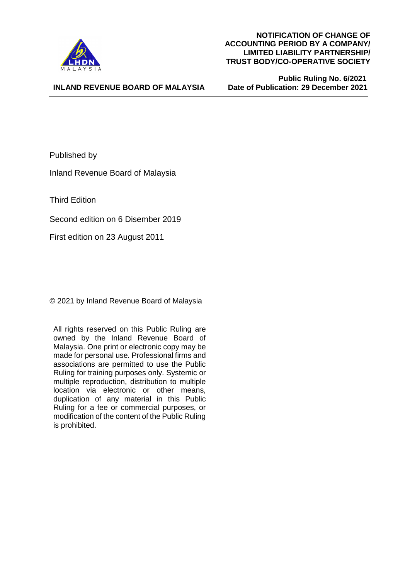

 **Public Ruling No. 6/2021 Date of Publication: 29 December 2021** 

#### **INLAND REVENUE BOARD OF MALAYSIA**

Published by

Inland Revenue Board of Malaysia

Third Edition

Second edition on 6 Disember 2019

First edition on 23 August 2011

© 2021 by Inland Revenue Board of Malaysia

All rights reserved on this Public Ruling are owned by the Inland Revenue Board of Malaysia. One print or electronic copy may be made for personal use. Professional firms and associations are permitted to use the Public Ruling for training purposes only. Systemic or multiple reproduction, distribution to multiple location via electronic or other means, duplication of any material in this Public Ruling for a fee or commercial purposes, or modification of the content of the Public Ruling is prohibited.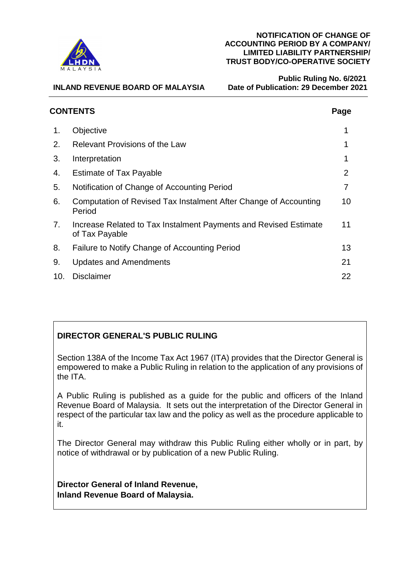

 **Public Ruling No. 6/2021 Date of Publication: 29 December 2021** 

|     | <b>CONTENTS</b>                                                                    | Page |
|-----|------------------------------------------------------------------------------------|------|
| 1.  | Objective                                                                          |      |
| 2.  | <b>Relevant Provisions of the Law</b>                                              |      |
| 3.  | Interpretation                                                                     |      |
| 4.  | <b>Estimate of Tax Payable</b>                                                     | 2    |
| 5.  | Notification of Change of Accounting Period                                        |      |
| 6.  | Computation of Revised Tax Instalment After Change of Accounting<br>Period         | 10   |
| 7.  | Increase Related to Tax Instalment Payments and Revised Estimate<br>of Tax Payable | 11   |
| 8.  | Failure to Notify Change of Accounting Period                                      | 13   |
| 9.  | <b>Updates and Amendments</b>                                                      | 21   |
| 10. | <b>Disclaimer</b>                                                                  | 22   |

### **DIRECTOR GENERAL'S PUBLIC RULING**

Section 138A of the Income Tax Act 1967 (ITA) provides that the Director General is empowered to make a Public Ruling in relation to the application of any provisions of the ITA.

A Public Ruling is published as a guide for the public and officers of the Inland Revenue Board of Malaysia. It sets out the interpretation of the Director General in respect of the particular tax law and the policy as well as the procedure applicable to it.

The Director General may withdraw this Public Ruling either wholly or in part, by notice of withdrawal or by publication of a new Public Ruling.

**Director General of Inland Revenue, Inland Revenue Board of Malaysia.**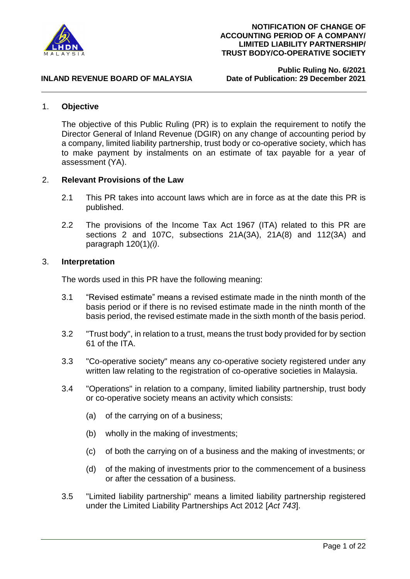

**Public Ruling No. 6/2021**

#### **INLAND REVENUE BOARD OF MALAYSIA**

#### 1. **Objective**

The objective of this Public Ruling (PR) is to explain the requirement to notify the Director General of Inland Revenue (DGIR) on any change of accounting period by a company, limited liability partnership, trust body or co-operative society, which has to make payment by instalments on an estimate of tax payable for a year of assessment (YA).

#### 2. **Relevant Provisions of the Law**

- 2.1 This PR takes into account laws which are in force as at the date this PR is published.
- 2.2 The provisions of the Income Tax Act 1967 (ITA) related to this PR are sections 2 and 107C, subsections 21A(3A), 21A(8) and 112(3A) and paragraph 120(1)*(i)*.

#### 3. **Interpretation**

The words used in this PR have the following meaning:

- 3.1 "Revised estimate" means a revised estimate made in the ninth month of the basis period or if there is no revised estimate made in the ninth month of the basis period, the revised estimate made in the sixth month of the basis period.
- 3.2 "Trust body", in relation to a trust, means the trust body provided for by section 61 of the ITA.
- 3.3 "Co-operative society" means any co-operative society registered under any written law relating to the registration of co-operative societies in Malaysia.
- 3.4 "Operations" in relation to a company, limited liability partnership, trust body or co-operative society means an activity which consists:
	- (a) of the carrying on of a business;
	- (b) wholly in the making of investments;
	- (c) of both the carrying on of a business and the making of investments; or
	- (d) of the making of investments prior to the commencement of a business or after the cessation of a business.
- 3.5 "Limited liability partnership" means a limited liability partnership registered under the Limited Liability Partnerships Act 2012 [*Act 743*].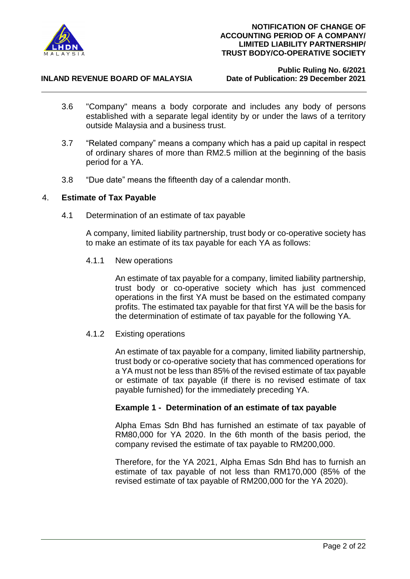

## **Public Ruling No. 6/2021**

- 3.6 "Company" means a body corporate and includes any body of persons established with a separate legal identity by or under the laws of a territory outside Malaysia and a business trust.
- 3.7 "Related company" means a company which has a paid up capital in respect of ordinary shares of more than RM2.5 million at the beginning of the basis period for a YA.
- 3.8 "Due date" means the fifteenth day of a calendar month.

#### 4. **Estimate of Tax Payable**

4.1 Determination of an estimate of tax payable

A company, limited liability partnership, trust body or co-operative society has to make an estimate of its tax payable for each YA as follows:

4.1.1 New operations

An estimate of tax payable for a company, limited liability partnership, trust body or co-operative society which has just commenced operations in the first YA must be based on the estimated company profits. The estimated tax payable for that first YA will be the basis for the determination of estimate of tax payable for the following YA.

#### 4.1.2 Existing operations

An estimate of tax payable for a company, limited liability partnership, trust body or co-operative society that has commenced operations for a YA must not be less than 85% of the revised estimate of tax payable or estimate of tax payable (if there is no revised estimate of tax payable furnished) for the immediately preceding YA.

#### **Example 1 - Determination of an estimate of tax payable**

Alpha Emas Sdn Bhd has furnished an estimate of tax payable of RM80,000 for YA 2020. In the 6th month of the basis period, the company revised the estimate of tax payable to RM200,000.

Therefore, for the YA 2021, Alpha Emas Sdn Bhd has to furnish an estimate of tax payable of not less than RM170,000 (85% of the revised estimate of tax payable of RM200,000 for the YA 2020).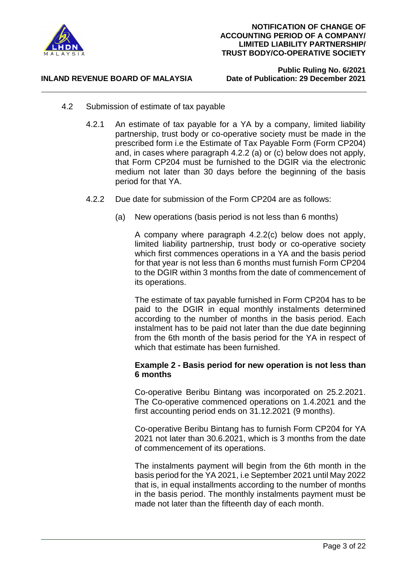

**Public Ruling No. 6/2021**

- 4.2 Submission of estimate of tax payable
	- 4.2.1 An estimate of tax payable for a YA by a company, limited liability partnership, trust body or co-operative society must be made in the prescribed form i.e the Estimate of Tax Payable Form (Form CP204) and, in cases where paragraph 4.2.2 (a) or (c) below does not apply, that Form CP204 must be furnished to the DGIR via the electronic medium not later than 30 days before the beginning of the basis period for that YA.
	- 4.2.2 Due date for submission of the Form CP204 are as follows:
		- (a) New operations (basis period is not less than 6 months)

A company where paragraph 4.2.2(c) below does not apply, limited liability partnership, trust body or co-operative society which first commences operations in a YA and the basis period for that year is not less than 6 months must furnish Form CP204 to the DGIR within 3 months from the date of commencement of its operations.

The estimate of tax payable furnished in Form CP204 has to be paid to the DGIR in equal monthly instalments determined according to the number of months in the basis period. Each instalment has to be paid not later than the due date beginning from the 6th month of the basis period for the YA in respect of which that estimate has been furnished.

#### **Example 2 - Basis period for new operation is not less than 6 months**

Co-operative Beribu Bintang was incorporated on 25.2.2021. The Co-operative commenced operations on 1.4.2021 and the first accounting period ends on 31.12.2021 (9 months).

Co-operative Beribu Bintang has to furnish Form CP204 for YA 2021 not later than 30.6.2021, which is 3 months from the date of commencement of its operations.

The instalments payment will begin from the 6th month in the basis period for the YA 2021, i.e September 2021 until May 2022 that is, in equal installments according to the number of months in the basis period. The monthly instalments payment must be made not later than the fifteenth day of each month.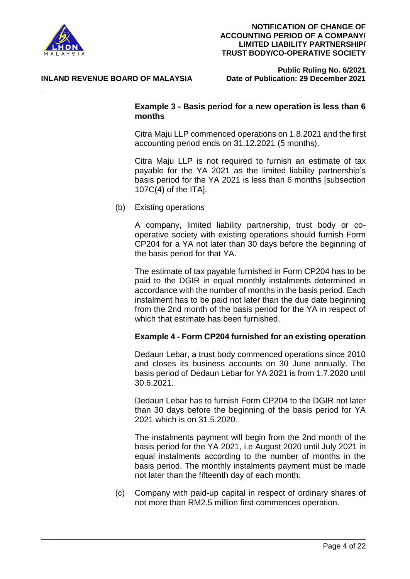

**Public Ruling No. 6/2021**

#### **Example 3 - Basis period for a new operation is less than 6 months**

Citra Maju LLP commenced operations on 1.8.2021 and the first accounting period ends on 31.12.2021 (5 months).

Citra Maju LLP is not required to furnish an estimate of tax payable for the YA 2021 as the limited liability partnership's basis period for the YA 2021 is less than 6 months [subsection 107C(4) of the ITA].

(b) Existing operations

A company, limited liability partnership, trust body or cooperative society with existing operations should furnish Form CP204 for a YA not later than 30 days before the beginning of the basis period for that YA.

The estimate of tax payable furnished in Form CP204 has to be paid to the DGIR in equal monthly instalments determined in accordance with the number of months in the basis period. Each instalment has to be paid not later than the due date beginning from the 2nd month of the basis period for the YA in respect of which that estimate has been furnished.

#### **Example 4 - Form CP204 furnished for an existing operation**

Dedaun Lebar, a trust body commenced operations since 2010 and closes its business accounts on 30 June annually. The basis period of Dedaun Lebar for YA 2021 is from 1.7.2020 until 30.6.2021.

Dedaun Lebar has to furnish Form CP204 to the DGIR not later than 30 days before the beginning of the basis period for YA 2021 which is on 31.5.2020.

The instalments payment will begin from the 2nd month of the basis period for the YA 2021, i.e August 2020 until July 2021 in equal instalments according to the number of months in the basis period. The monthly instalments payment must be made not later than the fifteenth day of each month.

(c) Company with paid-up capital in respect of ordinary shares of not more than RM2.5 million first commences operation.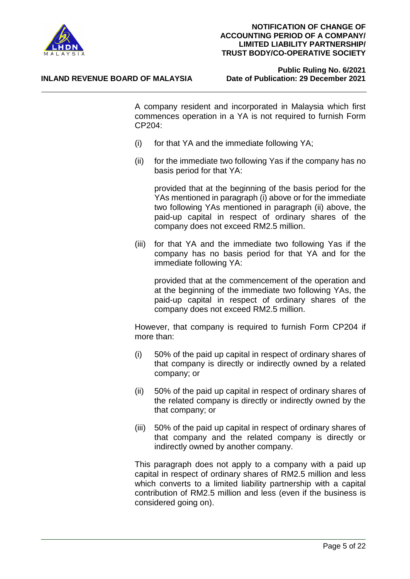

### **Public Ruling No. 6/2021**

A company resident and incorporated in Malaysia which first commences operation in a YA is not required to furnish Form CP204:

- (i) for that YA and the immediate following YA;
- (ii) for the immediate two following Yas if the company has no basis period for that YA:

provided that at the beginning of the basis period for the YAs mentioned in paragraph (i) above or for the immediate two following YAs mentioned in paragraph (ii) above, the paid-up capital in respect of ordinary shares of the company does not exceed RM2.5 million.

(iii) for that YA and the immediate two following Yas if the company has no basis period for that YA and for the immediate following YA:

provided that at the commencement of the operation and at the beginning of the immediate two following YAs, the paid-up capital in respect of ordinary shares of the company does not exceed RM2.5 million.

However, that company is required to furnish Form CP204 if more than:

- (i) 50% of the paid up capital in respect of ordinary shares of that company is directly or indirectly owned by a related company; or
- (ii) 50% of the paid up capital in respect of ordinary shares of the related company is directly or indirectly owned by the that company; or
- (iii) 50% of the paid up capital in respect of ordinary shares of that company and the related company is directly or indirectly owned by another company.

This paragraph does not apply to a company with a paid up capital in respect of ordinary shares of RM2.5 million and less which converts to a limited liability partnership with a capital contribution of RM2.5 million and less (even if the business is considered going on).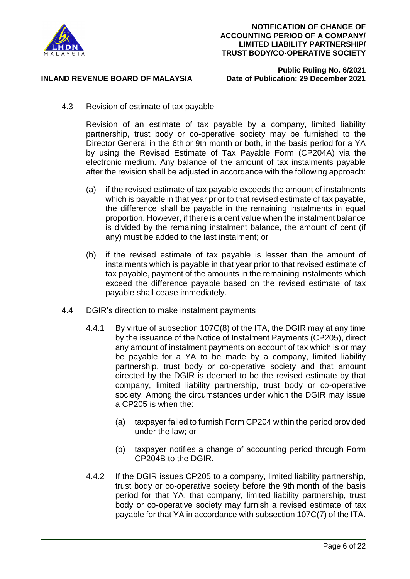

**Public Ruling No. 6/2021**

4.3 Revision of estimate of tax payable

Revision of an estimate of tax payable by a company, limited liability partnership, trust body or co-operative society may be furnished to the Director General in the 6th or 9th month or both, in the basis period for a YA by using the Revised Estimate of Tax Payable Form (CP204A) via the electronic medium. Any balance of the amount of tax instalments payable after the revision shall be adjusted in accordance with the following approach:

- (a) if the revised estimate of tax payable exceeds the amount of instalments which is payable in that year prior to that revised estimate of tax payable, the difference shall be payable in the remaining instalments in equal proportion. However, if there is a cent value when the instalment balance is divided by the remaining instalment balance, the amount of cent (if any) must be added to the last instalment; or
- (b) if the revised estimate of tax payable is lesser than the amount of instalments which is payable in that year prior to that revised estimate of tax payable, payment of the amounts in the remaining instalments which exceed the difference payable based on the revised estimate of tax payable shall cease immediately.
- 4.4 DGIR's direction to make instalment payments
	- 4.4.1 By virtue of subsection 107C(8) of the ITA, the DGIR may at any time by the issuance of the Notice of Instalment Payments (CP205), direct any amount of instalment payments on account of tax which is or may be payable for a YA to be made by a company, limited liability partnership, trust body or co-operative society and that amount directed by the DGIR is deemed to be the revised estimate by that company, limited liability partnership, trust body or co-operative society. Among the circumstances under which the DGIR may issue a CP205 is when the:
		- (a) taxpayer failed to furnish Form CP204 within the period provided under the law; or
		- (b) taxpayer notifies a change of accounting period through Form CP204B to the DGIR.
	- 4.4.2 If the DGIR issues CP205 to a company, limited liability partnership, trust body or co-operative society before the 9th month of the basis period for that YA, that company, limited liability partnership, trust body or co-operative society may furnish a revised estimate of tax payable for that YA in accordance with subsection 107C(7) of the ITA.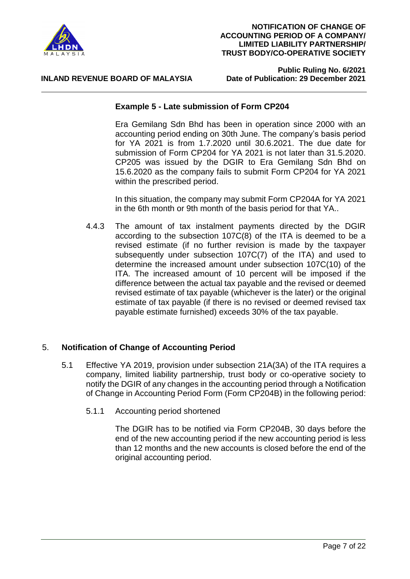

# **Public Ruling No. 6/2021**

#### **Example 5 - Late submission of Form CP204**

Era Gemilang Sdn Bhd has been in operation since 2000 with an accounting period ending on 30th June. The company's basis period for YA 2021 is from 1.7.2020 until 30.6.2021. The due date for submission of Form CP204 for YA 2021 is not later than 31.5.2020. CP205 was issued by the DGIR to Era Gemilang Sdn Bhd on 15.6.2020 as the company fails to submit Form CP204 for YA 2021 within the prescribed period.

In this situation, the company may submit Form CP204A for YA 2021 in the 6th month or 9th month of the basis period for that YA..

4.4.3 The amount of tax instalment payments directed by the DGIR according to the subsection 107C(8) of the ITA is deemed to be a revised estimate (if no further revision is made by the taxpayer subsequently under subsection 107C(7) of the ITA) and used to determine the increased amount under subsection 107C(10) of the ITA. The increased amount of 10 percent will be imposed if the difference between the actual tax payable and the revised or deemed revised estimate of tax payable (whichever is the later) or the original estimate of tax payable (if there is no revised or deemed revised tax payable estimate furnished) exceeds 30% of the tax payable.

#### 5. **Notification of Change of Accounting Period**

- 5.1 Effective YA 2019, provision under subsection 21A(3A) of the ITA requires a company, limited liability partnership, trust body or co-operative society to notify the DGIR of any changes in the accounting period through a Notification of Change in Accounting Period Form (Form CP204B) in the following period:
	- 5.1.1 Accounting period shortened

The DGIR has to be notified via Form CP204B, 30 days before the end of the new accounting period if the new accounting period is less than 12 months and the new accounts is closed before the end of the original accounting period.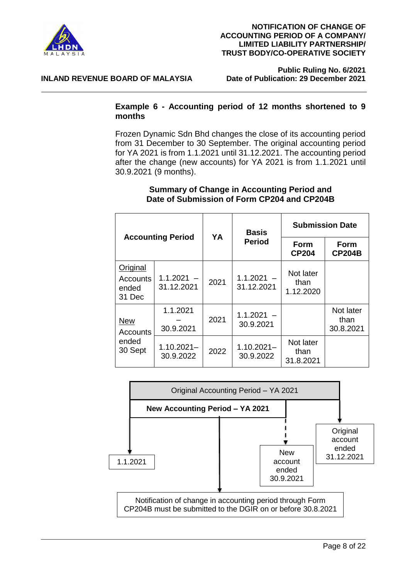

**Public Ruling No. 6/2021**

#### **INLAND REVENUE BOARD OF MALAYSIA**

#### **Example 6 - Accounting period of 12 months shortened to 9 months**

Frozen Dynamic Sdn Bhd changes the close of its accounting period from 31 December to 30 September. The original accounting period for YA 2021 is from 1.1.2021 until 31.12.2021. The accounting period after the change (new accounts) for YA 2021 is from 1.1.2021 until 30.9.2021 (9 months).

#### **Summary of Change in Accounting Period and Date of Submission of Form CP204 and CP204B**

| <b>Accounting Period</b>                |                            | YA   | <b>Basis</b>               | <b>Submission Date</b>         |                                |
|-----------------------------------------|----------------------------|------|----------------------------|--------------------------------|--------------------------------|
|                                         |                            |      | <b>Period</b>              | Form<br><b>CP204</b>           | Form<br><b>CP204B</b>          |
| Original<br>Accounts<br>ended<br>31 Dec | $1.1.2021 -$<br>31.12.2021 | 2021 | $1.1.2021 -$<br>31.12.2021 | Not later<br>than<br>1.12.2020 |                                |
| <b>New</b><br>Accounts                  | 1.1.2021<br>30.9.2021      | 2021 | $1.1.2021 -$<br>30.9.2021  |                                | Not later<br>than<br>30.8.2021 |
| ended<br>30 Sept                        | $1.10.2021 -$<br>30.9.2022 | 2022 | $1.10.2021 -$<br>30.9.2022 | Not later<br>than<br>31.8.2021 |                                |

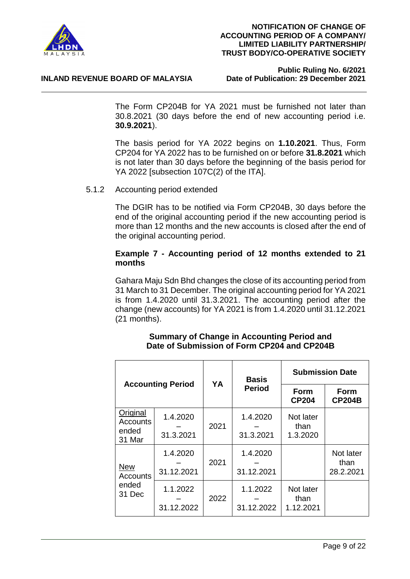

#### **INLAND REVENUE BOARD OF MALAYSIA**

## **Public Ruling No. 6/2021**

The Form CP204B for YA 2021 must be furnished not later than 30.8.2021 (30 days before the end of new accounting period i.e. **30.9.2021**).

The basis period for YA 2022 begins on **1.10.2021**. Thus, Form CP204 for YA 2022 has to be furnished on or before **31.8.2021** which is not later than 30 days before the beginning of the basis period for YA 2022 [subsection 107C(2) of the ITA].

#### 5.1.2 Accounting period extended

The DGIR has to be notified via Form CP204B, 30 days before the end of the original accounting period if the new accounting period is more than 12 months and the new accounts is closed after the end of the original accounting period.

#### **Example 7 - Accounting period of 12 months extended to 21 months**

Gahara Maju Sdn Bhd changes the close of its accounting period from 31 March to 31 December. The original accounting period for YA 2021 is from 1.4.2020 until 31.3.2021. The accounting period after the change (new accounts) for YA 2021 is from 1.4.2020 until 31.12.2021 (21 months).

| <b>Accounting Period</b>                |                        |      | <b>Basis</b>           | <b>Submission Date</b>                               |                                |
|-----------------------------------------|------------------------|------|------------------------|------------------------------------------------------|--------------------------------|
|                                         |                        | YA   | <b>Period</b>          | Form<br><b>Form</b><br><b>CP204</b><br><b>CP204B</b> |                                |
| Original<br>Accounts<br>ended<br>31 Mar | 1.4.2020<br>31.3.2021  | 2021 | 1.4.2020<br>31.3.2021  | Not later<br>than<br>1.3.2020                        |                                |
| <b>New</b><br><b>Accounts</b>           | 1.4.2020<br>31.12.2021 | 2021 | 1.4.2020<br>31.12.2021 |                                                      | Not later<br>than<br>28.2.2021 |
| ended<br>31 Dec                         | 1.1.2022<br>31.12.2022 | 2022 | 1.1.2022<br>31.12.2022 | Not later<br>than<br>1.12.2021                       |                                |

#### **Summary of Change in Accounting Period and Date of Submission of Form CP204 and CP204B**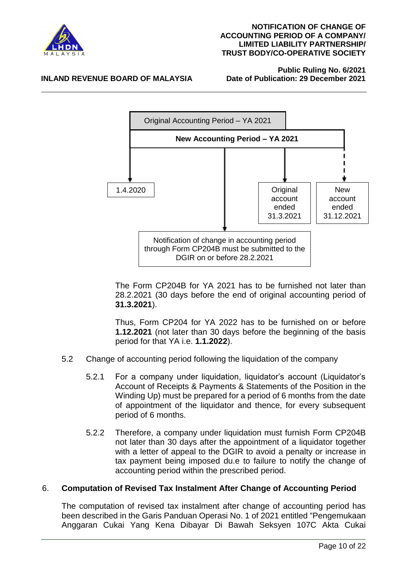

# **Public Ruling No. 6/2021**

#### **INLAND REVENUE BOARD OF MALAYSIA**



The Form CP204B for YA 2021 has to be furnished not later than 28.2.2021 (30 days before the end of original accounting period of **31.3.2021**).

Thus, Form CP204 for YA 2022 has to be furnished on or before **1.12.2021** (not later than 30 days before the beginning of the basis period for that YA i.e. **1.1.2022**).

- 5.2 Change of accounting period following the liquidation of the company
	- 5.2.1 For a company under liquidation, liquidator's account (Liquidator's Account of Receipts & Payments & Statements of the Position in the Winding Up) must be prepared for a period of 6 months from the date of appointment of the liquidator and thence, for every subsequent period of 6 months.
	- 5.2.2 Therefore, a company under liquidation must furnish Form CP204B not later than 30 days after the appointment of a liquidator together with a letter of appeal to the DGIR to avoid a penalty or increase in tax payment being imposed du.e to failure to notify the change of accounting period within the prescribed period.

#### 6. **Computation of Revised Tax Instalment After Change of Accounting Period**

The computation of revised tax instalment after change of accounting period has been described in the Garis Panduan Operasi No. 1 of 2021 entitled "Pengemukaan Anggaran Cukai Yang Kena Dibayar Di Bawah Seksyen 107C Akta Cukai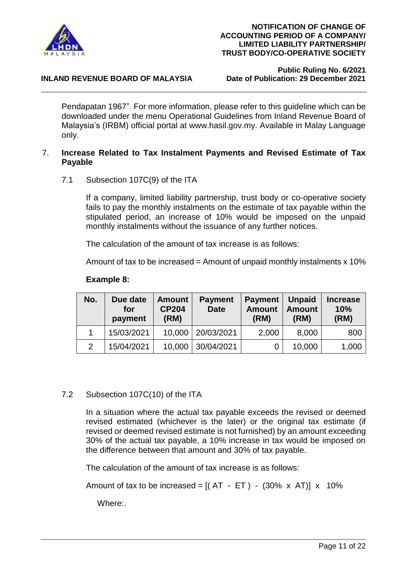

#### **INLAND REVENUE BOARD OF MALAYSIA**

**Public Ruling No. 6/2021**

Pendapatan 1967". For more information, please refer to this guideline which can be downloaded under the menu Operational Guidelines from Inland Revenue Board of Malaysia's (IRBM) official portal at www.hasil.gov.my. Available in Malay Language only.

#### 7. **Increase Related to Tax Instalment Payments and Revised Estimate of Tax Payable**

7.1 Subsection 107C(9) of the ITA

If a company, limited liability partnership, trust body or co-operative society fails to pay the monthly instalments on the estimate of tax payable within the stipulated period, an increase of 10% would be imposed on the unpaid monthly instalments without the issuance of any further notices.

The calculation of the amount of tax increase is as follows:

Amount of tax to be increased = Amount of unpaid monthly instalments  $x$  10%

| No.            | Due date<br>for<br>payment | <b>Amount</b><br><b>CP204</b><br>(RM) | <b>Payment</b><br><b>Date</b> | <b>Payment</b><br><b>Amount</b><br>(RM) | <b>Unpaid</b><br><b>Amount</b><br>(RM) | <b>Increase</b><br>10%<br>(RM) |
|----------------|----------------------------|---------------------------------------|-------------------------------|-----------------------------------------|----------------------------------------|--------------------------------|
|                | 15/03/2021                 | 10,000                                | 20/03/2021                    | 2,000                                   | 8,000                                  | 800                            |
| $\overline{2}$ | 15/04/2021                 | 10,000                                | 30/04/2021                    |                                         | 10,000                                 | 1,000                          |

#### **Example 8:**

#### 7.2 Subsection 107C(10) of the ITA

In a situation where the actual tax payable exceeds the revised or deemed revised estimated (whichever is the later) or the original tax estimate (if revised or deemed revised estimate is not furnished) by an amount exceeding 30% of the actual tax payable, a 10% increase in tax would be imposed on the difference between that amount and 30% of tax payable.

The calculation of the amount of tax increase is as follows:

Amount of tax to be increased =  $[(AT - ET) - (30\% \times AT)] \times 10\%$ 

Where:.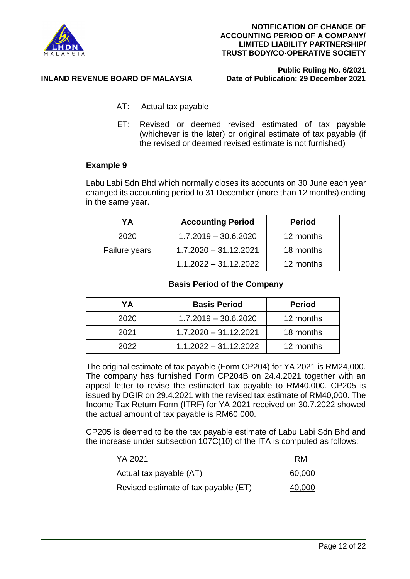

**Public Ruling No. 6/2021**

- **INLAND REVENUE BOARD OF MALAYSIA** 
	- AT: Actual tax payable
	- ET: Revised or deemed revised estimated of tax payable (whichever is the later) or original estimate of tax payable (if the revised or deemed revised estimate is not furnished)

#### **Example 9**

Labu Labi Sdn Bhd which normally closes its accounts on 30 June each year changed its accounting period to 31 December (more than 12 months) ending in the same year.

| YΑ            | <b>Accounting Period</b> | <b>Period</b> |
|---------------|--------------------------|---------------|
| 2020          | $1.7.2019 - 30.6.2020$   | 12 months     |
| Failure years | $1.7.2020 - 31.12.2021$  | 18 months     |
|               | $1.1.2022 - 31.12.2022$  | 12 months     |

#### **Basis Period of the Company**

| YA   | <b>Basis Period</b>     | <b>Period</b> |
|------|-------------------------|---------------|
| 2020 | $1.7.2019 - 30.6.2020$  | 12 months     |
| 2021 | $1.7.2020 - 31.12.2021$ | 18 months     |
| 2022 | $1.1.2022 - 31.12.2022$ | 12 months     |

The original estimate of tax payable (Form CP204) for YA 2021 is RM24,000. The company has furnished Form CP204B on 24.4.2021 together with an appeal letter to revise the estimated tax payable to RM40,000. CP205 is issued by DGIR on 29.4.2021 with the revised tax estimate of RM40,000. The Income Tax Return Form (ITRF) for YA 2021 received on 30.7.2022 showed the actual amount of tax payable is RM60,000.

CP205 is deemed to be the tax payable estimate of Labu Labi Sdn Bhd and the increase under subsection 107C(10) of the ITA is computed as follows:

| YA 2021                              | RM     |
|--------------------------------------|--------|
| Actual tax payable (AT)              | 60,000 |
| Revised estimate of tax payable (ET) | 40,000 |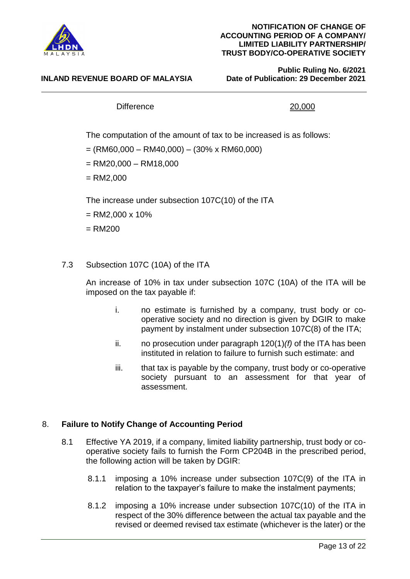

#### **INLAND REVENUE BOARD OF MALAYSIA**

**Public Ruling No. 6/2021**

#### Difference 20.000

The computation of the amount of tax to be increased is as follows:

- $=$  (RM60,000 RM40,000) (30% x RM60,000)
- $=$  RM20,000 RM18,000
- $= R M2,000$

The increase under subsection 107C(10) of the ITA

 $=$  RM2,000 x 10%

 $=$  RM200

#### 7.3 Subsection 107C (10A) of the ITA

An increase of 10% in tax under subsection 107C (10A) of the ITA will be imposed on the tax payable if:

- i. no estimate is furnished by a company, trust body or cooperative society and no direction is given by DGIR to make payment by instalment under subsection 107C(8) of the ITA;
- ii. no prosecution under paragraph 120(1)*(f)* of the ITA has been instituted in relation to failure to furnish such estimate: and
- iii. that tax is payable by the company, trust body or co-operative society pursuant to an assessment for that year of assessment.

#### 8. **Failure to Notify Change of Accounting Period**

- 8.1 Effective YA 2019, if a company, limited liability partnership, trust body or cooperative society fails to furnish the Form CP204B in the prescribed period, the following action will be taken by DGIR:
	- 8.1.1 imposing a 10% increase under subsection 107C(9) of the ITA in relation to the taxpayer's failure to make the instalment payments;
	- 8.1.2 imposing a 10% increase under subsection 107C(10) of the ITA in respect of the 30% difference between the actual tax payable and the revised or deemed revised tax estimate (whichever is the later) or the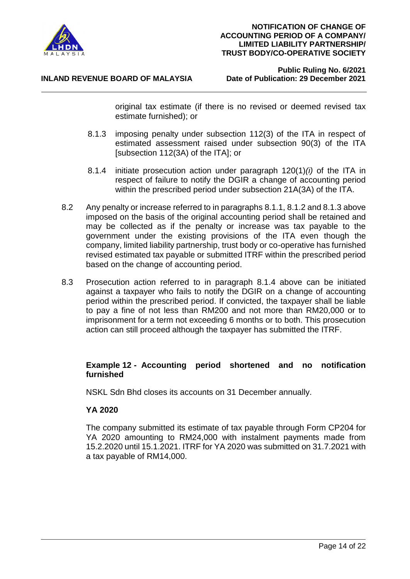

#### **INLAND REVENUE BOARD OF MALAYSIA**

**Public Ruling No. 6/2021**

original tax estimate (if there is no revised or deemed revised tax estimate furnished); or

- 8.1.3 imposing penalty under subsection 112(3) of the ITA in respect of estimated assessment raised under subsection 90(3) of the ITA [subsection 112(3A) of the ITA]; or
- 8.1.4 initiate prosecution action under paragraph 120(1)*(i)* of the ITA in respect of failure to notify the DGIR a change of accounting period within the prescribed period under subsection 21A(3A) of the ITA.
- 8.2 Any penalty or increase referred to in paragraphs 8.1.1, 8.1.2 and 8.1.3 above imposed on the basis of the original accounting period shall be retained and may be collected as if the penalty or increase was tax payable to the government under the existing provisions of the ITA even though the company, limited liability partnership, trust body or co-operative has furnished revised estimated tax payable or submitted ITRF within the prescribed period based on the change of accounting period.
- 8.3 Prosecution action referred to in paragraph 8.1.4 above can be initiated against a taxpayer who fails to notify the DGIR on a change of accounting period within the prescribed period. If convicted, the taxpayer shall be liable to pay a fine of not less than RM200 and not more than RM20,000 or to imprisonment for a term not exceeding 6 months or to both. This prosecution action can still proceed although the taxpayer has submitted the ITRF.

#### **Example 12 - Accounting period shortened and no notification furnished**

NSKL Sdn Bhd closes its accounts on 31 December annually.

#### **YA 2020**

The company submitted its estimate of tax payable through Form CP204 for YA 2020 amounting to RM24,000 with instalment payments made from 15.2.2020 until 15.1.2021. ITRF for YA 2020 was submitted on 31.7.2021 with a tax payable of RM14,000.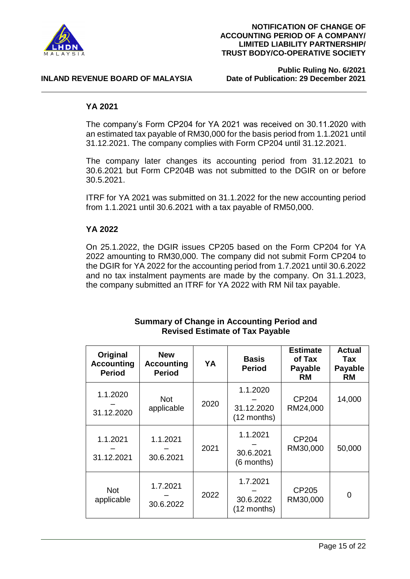

## **Public Ruling No. 6/2021**

#### **YA 2021**

The company's Form CP204 for YA 2021 was received on 30.11.2020 with an estimated tax payable of RM30,000 for the basis period from 1.1.2021 until 31.12.2021. The company complies with Form CP204 until 31.12.2021.

The company later changes its accounting period from 31.12.2021 to 30.6.2021 but Form CP204B was not submitted to the DGIR on or before 30.5.2021.

ITRF for YA 2021 was submitted on 31.1.2022 for the new accounting period from 1.1.2021 until 30.6.2021 with a tax payable of RM50,000.

#### **YA 2022**

On 25.1.2022, the DGIR issues CP205 based on the Form CP204 for YA 2022 amounting to RM30,000. The company did not submit Form CP204 to the DGIR for YA 2022 for the accounting period from 1.7.2021 until 30.6.2022 and no tax instalment payments are made by the company. On 31.1.2023, the company submitted an ITRF for YA 2022 with RM Nil tax payable.

| Original<br><b>Accounting</b><br><b>Period</b> | <b>New</b><br><b>Accounting</b><br><b>Period</b> | YA   | <b>Basis</b><br><b>Period</b>         | <b>Estimate</b><br>of Tax<br><b>Payable</b><br><b>RM</b> | <b>Actual</b><br>Tax<br><b>Payable</b><br>RM |
|------------------------------------------------|--------------------------------------------------|------|---------------------------------------|----------------------------------------------------------|----------------------------------------------|
| 1.1.2020<br>31.12.2020                         | <b>Not</b><br>applicable                         | 2020 | 1.1.2020<br>31.12.2020<br>(12 months) | CP204<br>RM24,000                                        | 14,000                                       |
| 1.1.2021<br>31.12.2021                         | 1.1.2021<br>30.6.2021                            | 2021 | 1.1.2021<br>30.6.2021<br>(6 months)   | CP204<br>RM30,000                                        | 50,000                                       |
| <b>Not</b><br>applicable                       | 1.7.2021<br>30.6.2022                            | 2022 | 1.7.2021<br>30.6.2022<br>(12 months)  | CP205<br>RM30,000                                        | $\Omega$                                     |

#### **Summary of Change in Accounting Period and Revised Estimate of Tax Payable**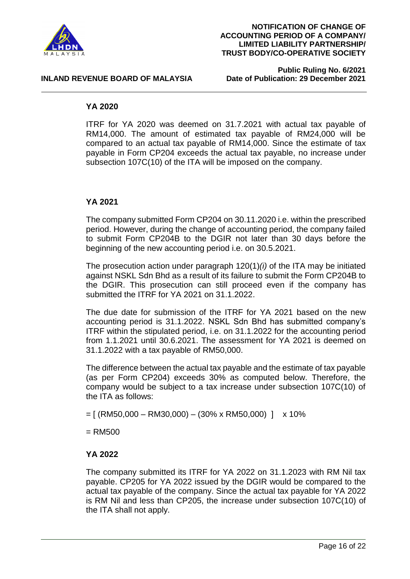

**Public Ruling No. 6/2021**

#### **INLAND REVENUE BOARD OF MALAYSIA**

#### **YA 2020**

ITRF for YA 2020 was deemed on 31.7.2021 with actual tax payable of RM14,000. The amount of estimated tax payable of RM24,000 will be compared to an actual tax payable of RM14,000. Since the estimate of tax payable in Form CP204 exceeds the actual tax payable, no increase under subsection 107C(10) of the ITA will be imposed on the company.

#### **YA 2021**

The company submitted Form CP204 on 30.11.2020 i.e. within the prescribed period. However, during the change of accounting period, the company failed to submit Form CP204B to the DGIR not later than 30 days before the beginning of the new accounting period i.e. on 30.5.2021.

The prosecution action under paragraph 120(1)*(i)* of the ITA may be initiated against NSKL Sdn Bhd as a result of its failure to submit the Form CP204B to the DGIR. This prosecution can still proceed even if the company has submitted the ITRF for YA 2021 on 31.1.2022.

The due date for submission of the ITRF for YA 2021 based on the new accounting period is 31.1.2022. NSKL Sdn Bhd has submitted company's ITRF within the stipulated period, i.e. on 31.1.2022 for the accounting period from 1.1.2021 until 30.6.2021. The assessment for YA 2021 is deemed on 31.1.2022 with a tax payable of RM50,000.

The difference between the actual tax payable and the estimate of tax payable (as per Form CP204) exceeds 30% as computed below. Therefore, the company would be subject to a tax increase under subsection 107C(10) of the ITA as follows:

 $= [ (RM50,000 - RM30,000) - (30\% \times RM50,000) ]$  x 10%

 $=$  RM500

#### **YA 2022**

The company submitted its ITRF for YA 2022 on 31.1.2023 with RM Nil tax payable. CP205 for YA 2022 issued by the DGIR would be compared to the actual tax payable of the company. Since the actual tax payable for YA 2022 is RM Nil and less than CP205, the increase under subsection 107C(10) of the ITA shall not apply.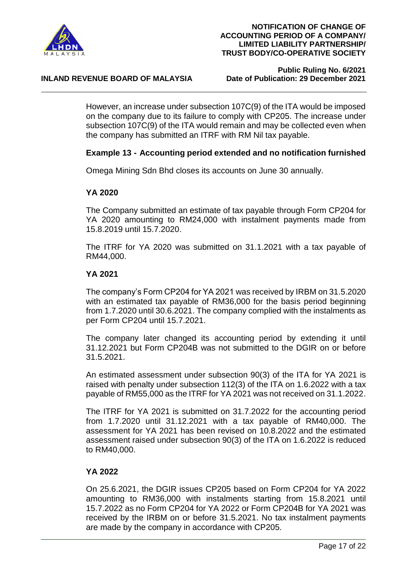

#### **INLAND REVENUE BOARD OF MALAYSIA**

### **Public Ruling No. 6/2021**

However, an increase under subsection 107C(9) of the ITA would be imposed on the company due to its failure to comply with CP205. The increase under subsection 107C(9) of the ITA would remain and may be collected even when the company has submitted an ITRF with RM Nil tax payable.

#### **Example 13 - Accounting period extended and no notification furnished**

Omega Mining Sdn Bhd closes its accounts on June 30 annually.

#### **YA 2020**

The Company submitted an estimate of tax payable through Form CP204 for YA 2020 amounting to RM24,000 with instalment payments made from 15.8.2019 until 15.7.2020.

The ITRF for YA 2020 was submitted on 31.1.2021 with a tax payable of RM44,000.

#### **YA 2021**

The company's Form CP204 for YA 2021 was received by IRBM on 31.5.2020 with an estimated tax payable of RM36,000 for the basis period beginning from 1.7.2020 until 30.6.2021. The company complied with the instalments as per Form CP204 until 15.7.2021.

The company later changed its accounting period by extending it until 31.12.2021 but Form CP204B was not submitted to the DGIR on or before 31.5.2021.

An estimated assessment under subsection 90(3) of the ITA for YA 2021 is raised with penalty under subsection 112(3) of the ITA on 1.6.2022 with a tax payable of RM55,000 as the ITRF for YA 2021 was not received on 31.1.2022.

The ITRF for YA 2021 is submitted on 31.7.2022 for the accounting period from 1.7.2020 until 31.12.2021 with a tax payable of RM40,000. The assessment for YA 2021 has been revised on 10.8.2022 and the estimated assessment raised under subsection 90(3) of the ITA on 1.6.2022 is reduced to RM40,000.

#### **YA 2022**

On 25.6.2021, the DGIR issues CP205 based on Form CP204 for YA 2022 amounting to RM36,000 with instalments starting from 15.8.2021 until 15.7.2022 as no Form CP204 for YA 2022 or Form CP204B for YA 2021 was received by the IRBM on or before 31.5.2021. No tax instalment payments are made by the company in accordance with CP205.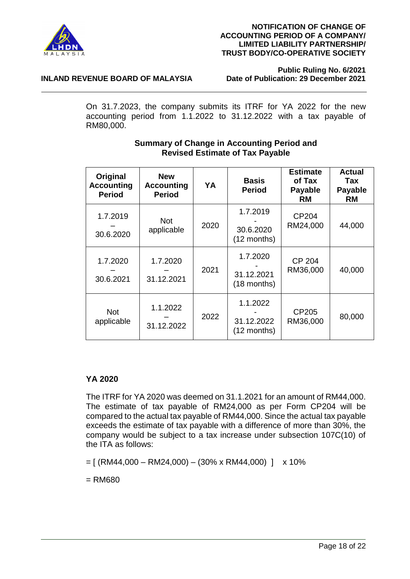

#### **NOTIFICATION OF CHANGE OF ACCOUNTING PERIOD OF A COMPANY/ LIMITED LIABILITY PARTNERSHIP/ TRUST BODY/CO-OPERATIVE SOCIETY**

**Public Ruling No. 6/2021**

On 31.7.2023, the company submits its ITRF for YA 2022 for the new accounting period from 1.1.2022 to 31.12.2022 with a tax payable of RM80,000.

| Original<br><b>Accounting</b><br><b>Period</b> | <b>New</b><br><b>Accounting</b><br><b>Period</b> | YA   | <b>Basis</b><br><b>Period</b>         | <b>Estimate</b><br>of Tax<br><b>Payable</b><br>RM | <b>Actual</b><br>Tax<br><b>Payable</b><br><b>RM</b> |
|------------------------------------------------|--------------------------------------------------|------|---------------------------------------|---------------------------------------------------|-----------------------------------------------------|
| 1.7.2019<br>30.6.2020                          | <b>Not</b><br>applicable                         | 2020 | 1.7.2019<br>30.6.2020<br>(12 months)  | CP <sub>204</sub><br>RM24,000                     | 44,000                                              |
| 1.7.2020<br>30.6.2021                          | 1.7.2020<br>31.12.2021                           | 2021 | 1.7.2020<br>31.12.2021<br>(18 months) | <b>CP 204</b><br>RM36,000                         | 40,000                                              |
| <b>Not</b><br>applicable                       | 1.1.2022<br>31.12.2022                           | 2022 | 1.1.2022<br>31.12.2022<br>(12 months) | CP205<br>RM36,000                                 | 80,000                                              |

#### **Summary of Change in Accounting Period and Revised Estimate of Tax Payable**

### **YA 2020**

The ITRF for YA 2020 was deemed on 31.1.2021 for an amount of RM44,000. The estimate of tax payable of RM24,000 as per Form CP204 will be compared to the actual tax payable of RM44,000. Since the actual tax payable exceeds the estimate of tax payable with a difference of more than 30%, the company would be subject to a tax increase under subsection 107C(10) of the ITA as follows:

 $= [ (RM44,000 - RM24,000) - (30\% \times RM44,000) ]$  x 10%

 $=$  RM680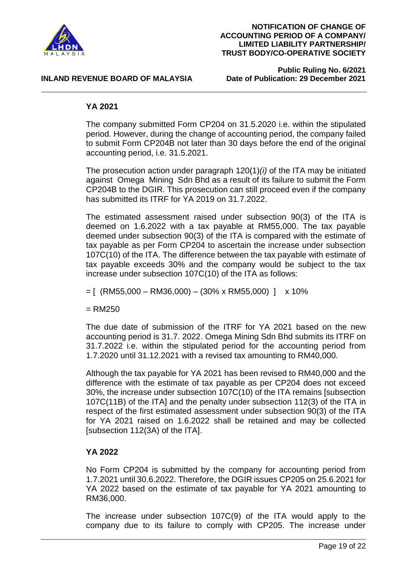

**Public Ruling No. 6/2021**

#### **YA 2021**

The company submitted Form CP204 on 31.5.2020 i.e. within the stipulated period. However, during the change of accounting period, the company failed to submit Form CP204B not later than 30 days before the end of the original accounting period, i.e. 31.5.2021.

The prosecution action under paragraph 120(1)*(i)* of the ITA may be initiated against Omega Mining Sdn Bhd as a result of its failure to submit the Form CP204B to the DGIR. This prosecution can still proceed even if the company has submitted its ITRF for YA 2019 on 31.7.2022.

The estimated assessment raised under subsection 90(3) of the ITA is deemed on 1.6.2022 with a tax payable at RM55,000. The tax payable deemed under subsection 90(3) of the ITA is compared with the estimate of tax payable as per Form CP204 to ascertain the increase under subsection 107C(10) of the ITA. The difference between the tax payable with estimate of tax payable exceeds 30% and the company would be subject to the tax increase under subsection 107C(10) of the ITA as follows:

 $=$  [ (RM55,000 – RM36,000) – (30% x RM55,000) ] x 10%

 $=$  RM250

The due date of submission of the ITRF for YA 2021 based on the new accounting period is 31.7. 2022. Omega Mining Sdn Bhd submits its ITRF on 31.7.2022 i.e. within the stipulated period for the accounting period from 1.7.2020 until 31.12.2021 with a revised tax amounting to RM40,000.

Although the tax payable for YA 2021 has been revised to RM40,000 and the difference with the estimate of tax payable as per CP204 does not exceed 30%, the increase under subsection 107C(10) of the ITA remains [subsection 107C(11B) of the ITA] and the penalty under subsection 112(3) of the ITA in respect of the first estimated assessment under subsection 90(3) of the ITA for YA 2021 raised on 1.6.2022 shall be retained and may be collected [subsection 112(3A) of the ITA].

#### **YA 2022**

No Form CP204 is submitted by the company for accounting period from 1.7.2021 until 30.6.2022. Therefore, the DGIR issues CP205 on 25.6.2021 for YA 2022 based on the estimate of tax payable for YA 2021 amounting to RM36,000.

The increase under subsection 107C(9) of the ITA would apply to the company due to its failure to comply with CP205. The increase under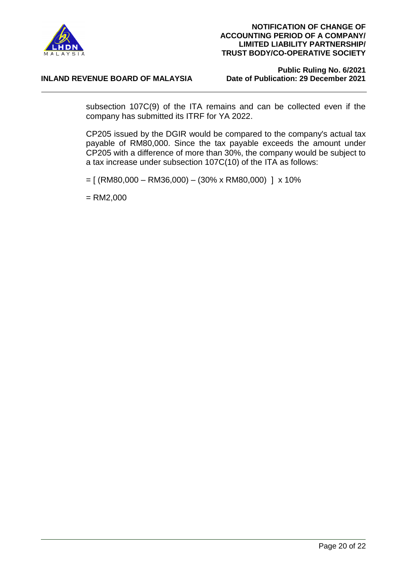

#### **INLAND REVENUE BOARD OF MALAYSIA**

# **Public Ruling No. 6/2021**

subsection 107C(9) of the ITA remains and can be collected even if the company has submitted its ITRF for YA 2022.

CP205 issued by the DGIR would be compared to the company's actual tax payable of RM80,000. Since the tax payable exceeds the amount under CP205 with a difference of more than 30%, the company would be subject to a tax increase under subsection 107C(10) of the ITA as follows:

 $= [ (RM80,000 - RM36,000) - (30\% \times RM80,000) ] \times 10\%$ 

 $=$  RM2,000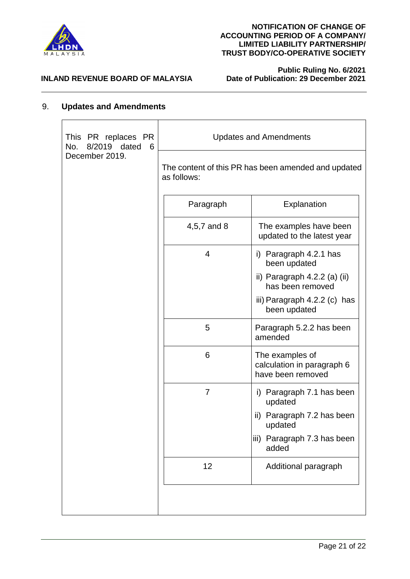

**Public Ruling No. 6/2021**

#### **INLAND REVENUE BOARD OF MALAYSIA**

#### 9. **Updates and Amendments**

| This PR replaces PR<br>8/2019 dated<br>- 6<br>No. | <b>Updates and Amendments</b> |                                                                    |  |
|---------------------------------------------------|-------------------------------|--------------------------------------------------------------------|--|
| December 2019.                                    | as follows:                   | The content of this PR has been amended and updated                |  |
|                                                   | Paragraph                     | Explanation                                                        |  |
|                                                   | 4,5,7 and 8                   | The examples have been<br>updated to the latest year               |  |
|                                                   | 4                             | i) Paragraph 4.2.1 has<br>been updated                             |  |
|                                                   |                               | ii) Paragraph $4.2.2$ (a) (ii)<br>has been removed                 |  |
|                                                   |                               | iii) Paragraph $4.2.2$ (c) has<br>been updated                     |  |
|                                                   | 5                             | Paragraph 5.2.2 has been<br>amended                                |  |
|                                                   | 6                             | The examples of<br>calculation in paragraph 6<br>have been removed |  |
|                                                   | 7                             | i) Paragraph 7.1 has been<br>updated                               |  |
|                                                   |                               | ii) Paragraph 7.2 has been<br>updated                              |  |
|                                                   |                               | iii) Paragraph 7.3 has been<br>added                               |  |
|                                                   | 12                            | Additional paragraph                                               |  |
|                                                   |                               |                                                                    |  |